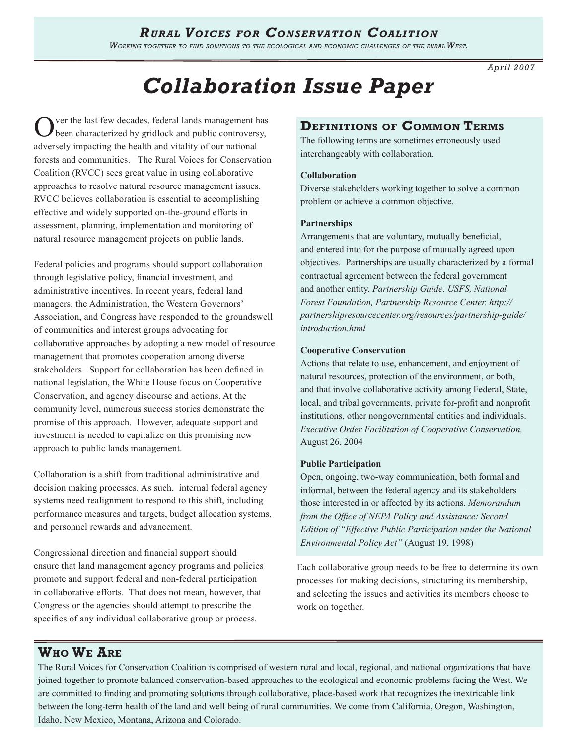# *Rural Voices for Conservation Coalition*

*Working together to find solutions to the ecological and economic challenges of the rural West.* 

*Apr il 2007*

# *Collaboration Issue Paper*

ver the last few decades, federal lands management has been characterized by gridlock and public controversy, adversely impacting the health and vitality of our national forests and communities. The Rural Voices for Conservation Coalition (RVCC) sees great value in using collaborative approaches to resolve natural resource management issues. RVCC believes collaboration is essential to accomplishing effective and widely supported on-the-ground efforts in assessment, planning, implementation and monitoring of natural resource management projects on public lands.

Federal policies and programs should support collaboration through legislative policy, financial investment, and administrative incentives. In recent years, federal land managers, the Administration, the Western Governors' Association, and Congress have responded to the groundswell of communities and interest groups advocating for collaborative approaches by adopting a new model of resource management that promotes cooperation among diverse stakeholders. Support for collaboration has been defined in national legislation, the White House focus on Cooperative Conservation, and agency discourse and actions. At the community level, numerous success stories demonstrate the promise of this approach. However, adequate support and investment is needed to capitalize on this promising new approach to public lands management.

Collaboration is a shift from traditional administrative and decision making processes. As such, internal federal agency systems need realignment to respond to this shift, including performance measures and targets, budget allocation systems, and personnel rewards and advancement.

Congressional direction and financial support should ensure that land management agency programs and policies promote and support federal and non-federal participation in collaborative efforts. That does not mean, however, that Congress or the agencies should attempt to prescribe the specifics of any individual collaborative group or process.

### **Definitions of Common Terms**

The following terms are sometimes erroneously used interchangeably with collaboration.

#### **Collaboration**

Diverse stakeholders working together to solve a common problem or achieve a common objective.

#### **Partnerships**

Arrangements that are voluntary, mutually beneficial, and entered into for the purpose of mutually agreed upon objectives. Partnerships are usually characterized by a formal contractual agreement between the federal government and another entity. *Partnership Guide. USFS, National Forest Foundation, Partnership Resource Center. http:// partnershipresourcecenter.org/resources/partnership-guide/ introduction.html*

#### **Cooperative Conservation**

Actions that relate to use, enhancement, and enjoyment of natural resources, protection of the environment, or both, and that involve collaborative activity among Federal, State, local, and tribal governments, private for-profit and nonprofit institutions, other nongovernmental entities and individuals. *Executive Order Facilitation of Cooperative Conservation,* August 26, 2004

#### **Public Participation**

Open, ongoing, two-way communication, both formal and informal, between the federal agency and its stakeholders those interested in or affected by its actions. *Memorandum from the Office of NEPA Policy and Assistance: Second Edition of "Effective Public Participation under the National Environmental Policy Act"* (August 19, 1998)

Each collaborative group needs to be free to determine its own processes for making decisions, structuring its membership, and selecting the issues and activities its members choose to work on together.

### **Who We Are**

The Rural Voices for Conservation Coalition is comprised of western rural and local, regional, and national organizations that have joined together to promote balanced conservation-based approaches to the ecological and economic problems facing the West. We are committed to finding and promoting solutions through collaborative, place-based work that recognizes the inextricable link between the long-term health of the land and well being of rural communities. We come from California, Oregon, Washington, Idaho, New Mexico, Montana, Arizona and Colorado.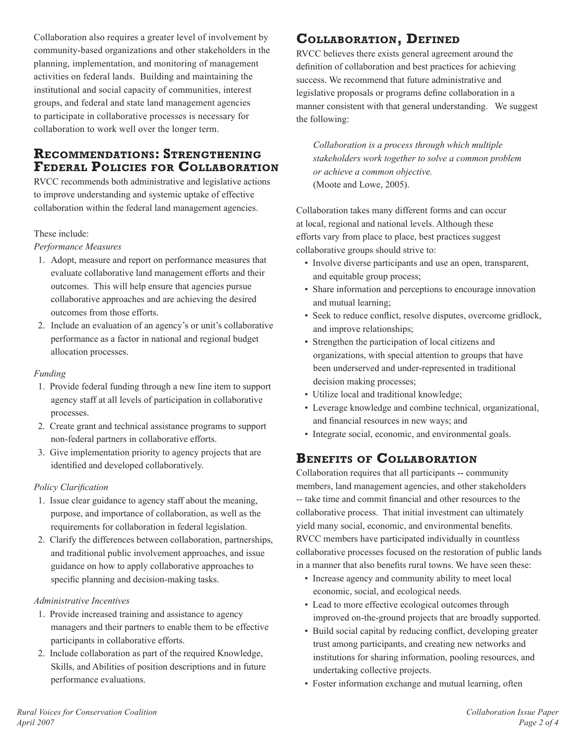Collaboration also requires a greater level of involvement by community-based organizations and other stakeholders in the planning, implementation, and monitoring of management activities on federal lands. Building and maintaining the institutional and social capacity of communities, interest groups, and federal and state land management agencies to participate in collaborative processes is necessary for collaboration to work well over the longer term.

### **Recommendations: Strengthening Federal Policies for Collaboration**

RVCC recommends both administrative and legislative actions to improve understanding and systemic uptake of effective collaboration within the federal land management agencies.

#### These include:

#### *Performance Measures*

- 1. Adopt, measure and report on performance measures that evaluate collaborative land management efforts and their outcomes. This will help ensure that agencies pursue collaborative approaches and are achieving the desired outcomes from those efforts.
- 2. Include an evaluation of an agency's or unit's collaborative performance as a factor in national and regional budget allocation processes.

#### *Funding*

- 1. Provide federal funding through a new line item to support agency staff at all levels of participation in collaborative processes.
- 2. Create grant and technical assistance programs to support non-federal partners in collaborative efforts.
- 3. Give implementation priority to agency projects that are identified and developed collaboratively.

#### *Policy Clarification*

- 1. Issue clear guidance to agency staff about the meaning, purpose, and importance of collaboration, as well as the requirements for collaboration in federal legislation.
- 2. Clarify the differences between collaboration, partnerships, and traditional public involvement approaches, and issue guidance on how to apply collaborative approaches to specific planning and decision-making tasks.

#### *Administrative Incentives*

- 1. Provide increased training and assistance to agency managers and their partners to enable them to be effective participants in collaborative efforts.
- 2. Include collaboration as part of the required Knowledge, Skills, and Abilities of position descriptions and in future performance evaluations.

# **Collaboration, Defined**

RVCC believes there exists general agreement around the definition of collaboration and best practices for achieving success. We recommend that future administrative and legislative proposals or programs define collaboration in a manner consistent with that general understanding. We suggest the following:

*Collaboration is a process through which multiple stakeholders work together to solve a common problem or achieve a common objective.* (Moote and Lowe, 2005).

Collaboration takes many different forms and can occur at local, regional and national levels. Although these efforts vary from place to place, best practices suggest collaborative groups should strive to:

- Involve diverse participants and use an open, transparent, and equitable group process;
- Share information and perceptions to encourage innovation and mutual learning;
- Seek to reduce conflict, resolve disputes, overcome gridlock, and improve relationships;
- Strengthen the participation of local citizens and organizations, with special attention to groups that have been underserved and under-represented in traditional decision making processes;
- Utilize local and traditional knowledge;
- Leverage knowledge and combine technical, organizational, and financial resources in new ways; and
- Integrate social, economic, and environmental goals.

# **Benefits of Collaboration**

Collaboration requires that all participants -- community members, land management agencies, and other stakeholders -- take time and commit financial and other resources to the collaborative process. That initial investment can ultimately yield many social, economic, and environmental benefits. RVCC members have participated individually in countless collaborative processes focused on the restoration of public lands in a manner that also benefits rural towns. We have seen these:

- Increase agency and community ability to meet local economic, social, and ecological needs.
- Lead to more effective ecological outcomes through improved on-the-ground projects that are broadly supported.
- Build social capital by reducing conflict, developing greater trust among participants, and creating new networks and institutions for sharing information, pooling resources, and undertaking collective projects.
- Foster information exchange and mutual learning, often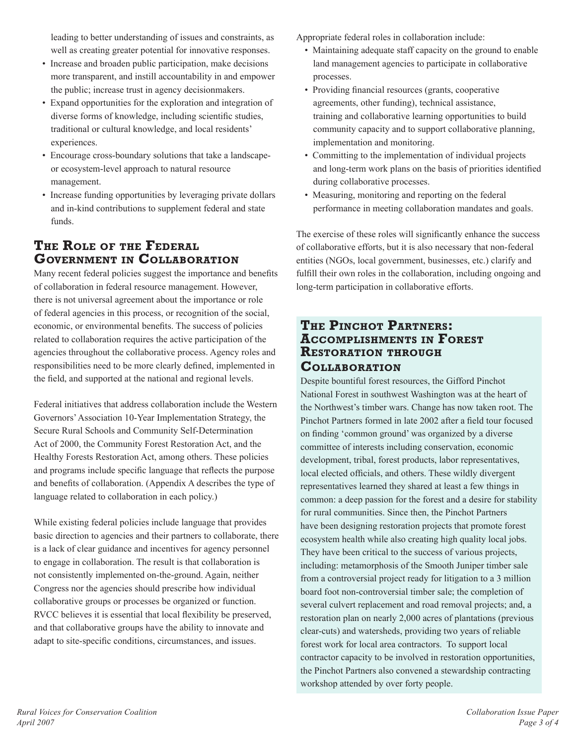leading to better understanding of issues and constraints, as well as creating greater potential for innovative responses.

- Increase and broaden public participation, make decisions more transparent, and instill accountability in and empower the public; increase trust in agency decisionmakers.
- Expand opportunities for the exploration and integration of diverse forms of knowledge, including scientific studies, traditional or cultural knowledge, and local residents' experiences.
- Encourage cross-boundary solutions that take a landscapeor ecosystem-level approach to natural resource management.
- Increase funding opportunities by leveraging private dollars and in-kind contributions to supplement federal and state funds.

# **The Role of the Federal Government in Collaboration**

Many recent federal policies suggest the importance and benefits of collaboration in federal resource management. However, there is not universal agreement about the importance or role of federal agencies in this process, or recognition of the social, economic, or environmental benefits. The success of policies related to collaboration requires the active participation of the agencies throughout the collaborative process. Agency roles and responsibilities need to be more clearly defined, implemented in the field, and supported at the national and regional levels.

Federal initiatives that address collaboration include the Western Governors' Association 10-Year Implementation Strategy, the Secure Rural Schools and Community Self-Determination Act of 2000, the Community Forest Restoration Act, and the Healthy Forests Restoration Act, among others. These policies and programs include specific language that reflects the purpose and benefits of collaboration. (Appendix A describes the type of language related to collaboration in each policy.)

While existing federal policies include language that provides basic direction to agencies and their partners to collaborate, there is a lack of clear guidance and incentives for agency personnel to engage in collaboration. The result is that collaboration is not consistently implemented on-the-ground. Again, neither Congress nor the agencies should prescribe how individual collaborative groups or processes be organized or function. RVCC believes it is essential that local flexibility be preserved, and that collaborative groups have the ability to innovate and adapt to site-specific conditions, circumstances, and issues.

Appropriate federal roles in collaboration include:

- Maintaining adequate staff capacity on the ground to enable land management agencies to participate in collaborative processes.
- Providing financial resources (grants, cooperative agreements, other funding), technical assistance, training and collaborative learning opportunities to build community capacity and to support collaborative planning, implementation and monitoring.
- Committing to the implementation of individual projects and long-term work plans on the basis of priorities identified during collaborative processes.
- Measuring, monitoring and reporting on the federal performance in meeting collaboration mandates and goals.

The exercise of these roles will significantly enhance the success of collaborative efforts, but it is also necessary that non-federal entities (NGOs, local government, businesses, etc.) clarify and fulfill their own roles in the collaboration, including ongoing and long-term participation in collaborative efforts.

### **The Pinchot Partners: Accomplishments in Forest Restoration through Collaboration**

Despite bountiful forest resources, the Gifford Pinchot National Forest in southwest Washington was at the heart of the Northwest's timber wars. Change has now taken root. The Pinchot Partners formed in late 2002 after a field tour focused on finding 'common ground' was organized by a diverse committee of interests including conservation, economic development, tribal, forest products, labor representatives, local elected officials, and others. These wildly divergent representatives learned they shared at least a few things in common: a deep passion for the forest and a desire for stability for rural communities. Since then, the Pinchot Partners have been designing restoration projects that promote forest ecosystem health while also creating high quality local jobs. They have been critical to the success of various projects, including: metamorphosis of the Smooth Juniper timber sale from a controversial project ready for litigation to a 3 million board foot non-controversial timber sale; the completion of several culvert replacement and road removal projects; and, a restoration plan on nearly 2,000 acres of plantations (previous clear-cuts) and watersheds, providing two years of reliable forest work for local area contractors. To support local contractor capacity to be involved in restoration opportunities, the Pinchot Partners also convened a stewardship contracting workshop attended by over forty people.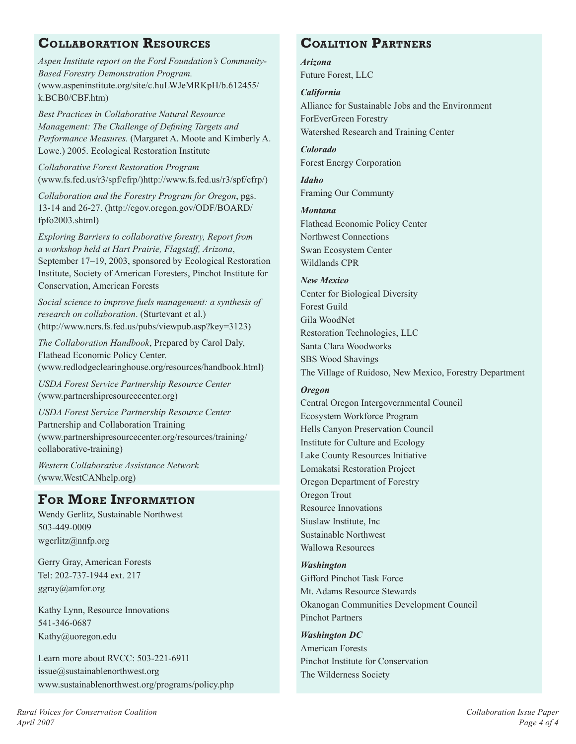## **Collaboration Resources**

*Aspen Institute report on the Ford Foundation's Community-Based Forestry Demonstration Program.* (www.aspeninstitute.org/site/c.huLWJeMRKpH/b.612455/ k.BCB0/CBF.htm)

*Best Practices in Collaborative Natural Resource Management: The Challenge of Defining Targets and Performance Measures.* (Margaret A. Moote and Kimberly A. Lowe.) 2005. Ecological Restoration Institute

*Collaborative Forest Restoration Program* (www.fs.fed.us/r3/spf/cfrp/)http://www.fs.fed.us/r3/spf/cfrp/)

*Collaboration and the Forestry Program for Oregon*, pgs. 13-14 and 26-27. (http://egov.oregon.gov/ODF/BOARD/ fpfo2003.shtml)

*Exploring Barriers to collaborative forestry, Report from a workshop held at Hart Prairie, Flagstaff, Arizona*, September 17–19, 2003, sponsored by Ecological Restoration Institute, Society of American Foresters, Pinchot Institute for Conservation, American Forests

*Social science to improve fuels management: a synthesis of research on collaboration*. (Sturtevant et al.) (http://www.ncrs.fs.fed.us/pubs/viewpub.asp?key=3123)

*The Collaboration Handbook*, Prepared by Carol Daly, Flathead Economic Policy Center. (www.redlodgeclearinghouse.org/resources/handbook.html)

*USDA Forest Service Partnership Resource Center* (www.partnershipresourcecenter.org)

*USDA Forest Service Partnership Resource Center*  Partnership and Collaboration Training (www.partnershipresourcecenter.org/resources/training/ collaborative-training)

*Western Collaborative Assistance Network* (www.WestCANhelp.org)

# **For More Information**

Wendy Gerlitz, Sustainable Northwest 503-449-0009 wgerlitz@nnfp.org

Gerry Gray, American Forests Tel: 202-737-1944 ext. 217 ggray@amfor.org

Kathy Lynn, Resource Innovations 541-346-0687 Kathy@uoregon.edu

Learn more about RVCC: 503-221-6911 issue@sustainablenorthwest.org www.sustainablenorthwest.org/programs/policy.php

# **Coalition Partners**

*Arizona* Future Forest, LLC

*California* Alliance for Sustainable Jobs and the Environment ForEverGreen Forestry Watershed Research and Training Center

*Colorado* Forest Energy Corporation

*Idaho* Framing Our Communty

*Montana* Flathead Economic Policy Center Northwest Connections Swan Ecosystem Center Wildlands CPR

*New Mexico* Center for Biological Diversity Forest Guild Gila WoodNet Restoration Technologies, LLC Santa Clara Woodworks SBS Wood Shavings The Village of Ruidoso, New Mexico, Forestry Department

#### *Oregon*

Central Oregon Intergovernmental Council Ecosystem Workforce Program Hells Canyon Preservation Council Institute for Culture and Ecology Lake County Resources Initiative Lomakatsi Restoration Project Oregon Department of Forestry Oregon Trout Resource Innovations Siuslaw Institute, Inc Sustainable Northwest Wallowa Resources

*Washington* Gifford Pinchot Task Force Mt. Adams Resource Stewards Okanogan Communities Development Council Pinchot Partners

*Washington DC* American Forests Pinchot Institute for Conservation The Wilderness Society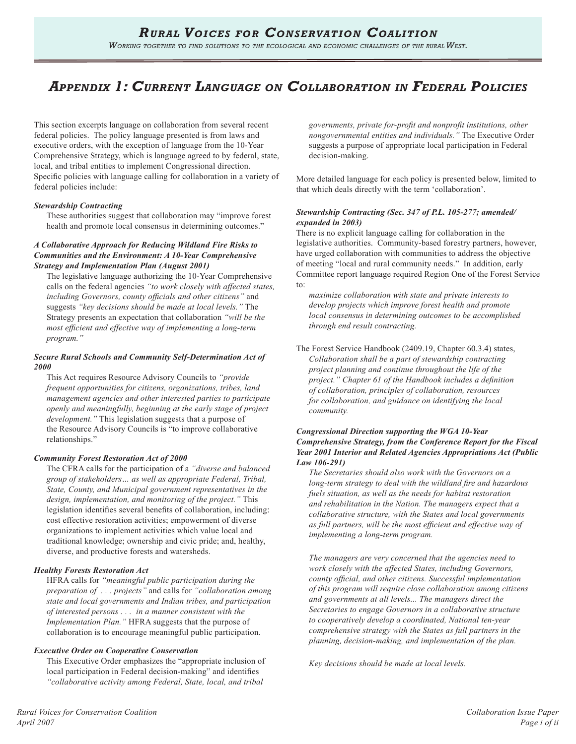# *Appendix 1: Current Language on Collaboration in Federal Policies*

This section excerpts language on collaboration from several recent federal policies. The policy language presented is from laws and executive orders, with the exception of language from the 10-Year Comprehensive Strategy, which is language agreed to by federal, state, local, and tribal entities to implement Congressional direction. Specific policies with language calling for collaboration in a variety of federal policies include:

#### *Stewardship Contracting*

These authorities suggest that collaboration may "improve forest health and promote local consensus in determining outcomes."

#### *A Collaborative Approach for Reducing Wildland Fire Risks to Communities and the Environment: A 10-Year Comprehensive Strategy and Implementation Plan (August 2001)*

The legislative language authorizing the 10-Year Comprehensive calls on the federal agencies *"to work closely with affected states, including Governors, county officials and other citizens"* and suggests *"key decisions should be made at local levels."* The Strategy presents an expectation that collaboration *"will be the most efficient and effective way of implementing a long-term program."*

#### *Secure Rural Schools and Community Self-Determination Act of 2000*

This Act requires Resource Advisory Councils to *"provide frequent opportunities for citizens, organizations, tribes, land management agencies and other interested parties to participate openly and meaningfully, beginning at the early stage of project development."* This legislation suggests that a purpose of the Resource Advisory Councils is "to improve collaborative relationships."

#### *Community Forest Restoration Act of 2000*

The CFRA calls for the participation of a *"diverse and balanced group of stakeholders… as well as appropriate Federal, Tribal, State, County, and Municipal government representatives in the design, implementation, and monitoring of the project."* This legislation identifies several benefits of collaboration, including: cost effective restoration activities; empowerment of diverse organizations to implement activities which value local and traditional knowledge; ownership and civic pride; and, healthy, diverse, and productive forests and watersheds.

#### *Healthy Forests Restoration Act*

HFRA calls for *"meaningful public participation during the preparation of . . . projects"* and calls for *"collaboration among state and local governments and Indian tribes, and participation of interested persons . . . in a manner consistent with the Implementation Plan."* HFRA suggests that the purpose of collaboration is to encourage meaningful public participation.

#### *Executive Order on Cooperative Conservation*

This Executive Order emphasizes the "appropriate inclusion of local participation in Federal decision-making" and identifies *"collaborative activity among Federal, State, local, and tribal* 

*governments, private for-profit and nonprofit institutions, other nongovernmental entities and individuals."* The Executive Order suggests a purpose of appropriate local participation in Federal decision-making.

More detailed language for each policy is presented below, limited to that which deals directly with the term 'collaboration'.

#### *Stewardship Contracting (Sec. 347 of P.L. 105-277; amended/ expanded in 2003)*

There is no explicit language calling for collaboration in the legislative authorities. Community-based forestry partners, however, have urged collaboration with communities to address the objective of meeting "local and rural community needs." In addition, early Committee report language required Region One of the Forest Service to:

*maximize collaboration with state and private interests to develop projects which improve forest health and promote local consensus in determining outcomes to be accomplished through end result contracting.*

The Forest Service Handbook (2409.19, Chapter 60.3.4) states, *Collaboration shall be a part of stewardship contracting project planning and continue throughout the life of the project." Chapter 61 of the Handbook includes a definition of collaboration, principles of collaboration, resources for collaboration, and guidance on identifying the local community.* 

#### *Congressional Direction supporting the WGA 10-Year Comprehensive Strategy, from the Conference Report for the Fiscal Year 2001 Interior and Related Agencies Appropriations Act (Public Law 106-291)*

*The Secretaries should also work with the Governors on a long-term strategy to deal with the wildland fire and hazardous fuels situation, as well as the needs for habitat restoration and rehabilitation in the Nation. The managers expect that a collaborative structure, with the States and local governments as full partners, will be the most efficient and effective way of implementing a long-term program.*

*The managers are very concerned that the agencies need to work closely with the affected States, including Governors, county official, and other citizens. Successful implementation of this program will require close collaboration among citizens and governments at all levels... The managers direct the Secretaries to engage Governors in a collaborative structure to cooperatively develop a coordinated, National ten-year comprehensive strategy with the States as full partners in the planning, decision-making, and implementation of the plan.*

*Key decisions should be made at local levels.*